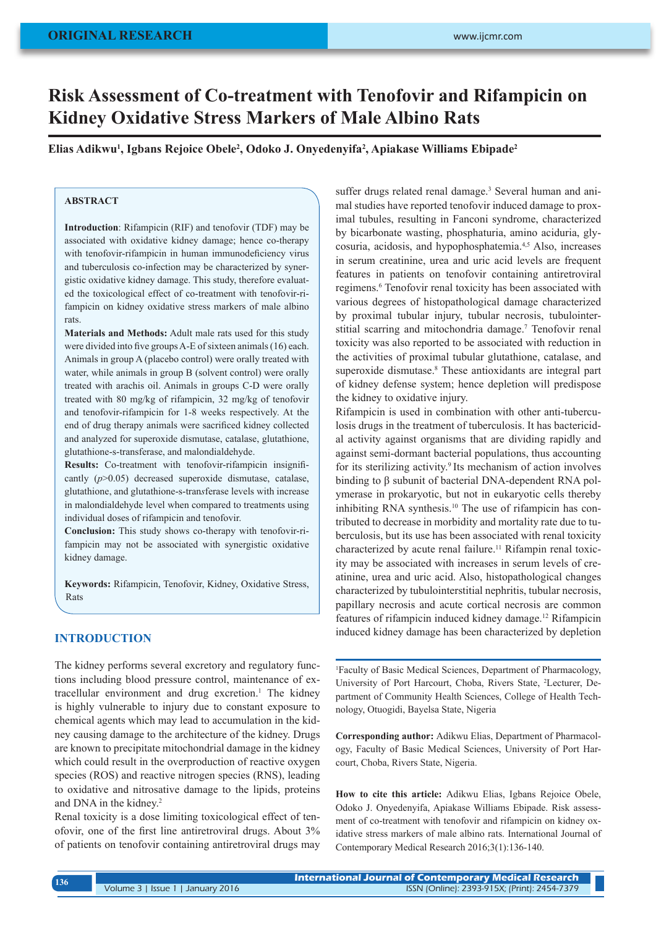# **Risk Assessment of Co-treatment with Tenofovir and Rifampicin on Kidney Oxidative Stress Markers of Male Albino Rats**

**Elias Adikwu1 , Igbans Rejoice Obele2 , Odoko J. Onyedenyifa2 , Apiakase Williams Ebipade2**

## **ABSTRACT**

**Introduction**: Rifampicin (RIF) and tenofovir (TDF) may be associated with oxidative kidney damage; hence co-therapy with tenofovir-rifampicin in human immunodeficiency virus and tuberculosis co-infection may be characterized by synergistic oxidative kidney damage. This study, therefore evaluated the toxicological effect of co-treatment with tenofovir-rifampicin on kidney oxidative stress markers of male albino rats.

**Materials and Methods:** Adult male rats used for this study were divided into five groups A-E of sixteen animals (16) each. Animals in group A (placebo control) were orally treated with water, while animals in group B (solvent control) were orally treated with arachis oil. Animals in groups C-D were orally treated with 80 mg/kg of rifampicin, 32 mg/kg of tenofovir and tenofovir-rifampicin for 1-8 weeks respectively. At the end of drug therapy animals were sacrificed kidney collected and analyzed for superoxide dismutase, catalase, glutathione, glutathione-s-transferase, and malondialdehyde.

**Results:** Co-treatment with tenofovir-rifampicin insignificantly (*p*>0.05) decreased superoxide dismutase, catalase, glutathione, and glutathione-s-tran*s*ferase levels with increase in malondialdehyde level when compared to treatments using individual doses of rifampicin and tenofovir.

**Conclusion:** This study shows co-therapy with tenofovir-rifampicin may not be associated with synergistic oxidative kidney damage.

**Keywords:** Rifampicin, Tenofovir, Kidney, Oxidative Stress, Rats

# **INTRODUCTION**

The kidney performs several excretory and regulatory functions including blood pressure control, maintenance of extracellular environment and drug excretion.<sup>1</sup> The kidney is highly vulnerable to injury due to constant exposure to chemical agents which may lead to accumulation in the kidney causing damage to the architecture of the kidney. Drugs are known to precipitate mitochondrial damage in the kidney which could result in the overproduction of reactive oxygen species (ROS) and reactive nitrogen species (RNS), leading to oxidative and nitrosative damage to the lipids, proteins and DNA in the kidney.2

Renal toxicity is a dose limiting toxicological effect of tenofovir, one of the first line antiretroviral drugs. About 3% of patients on tenofovir containing antiretroviral drugs may

suffer drugs related renal damage.<sup>3</sup> Several human and animal studies have reported tenofovir induced damage to proximal tubules, resulting in Fanconi syndrome, characterized by bicarbonate wasting, phosphaturia, amino aciduria, glycosuria, acidosis, and hypophosphatemia.4,5 Also, increases in serum creatinine, urea and uric acid levels are frequent features in patients on tenofovir containing antiretroviral regimens.<sup>6</sup> Tenofovir renal toxicity has been associated with various degrees of histopathological damage characterized by proximal tubular injury, tubular necrosis, tubulointerstitial scarring and mitochondria damage.<sup>7</sup> Tenofovir renal toxicity was also reported to be associated with reduction in the activities of proximal tubular glutathione, catalase, and superoxide dismutase.<sup>8</sup> These antioxidants are integral part of kidney defense system; hence depletion will predispose the kidney to oxidative injury.

Rifampicin is used in combination with other anti-tuberculosis drugs in the treatment of tuberculosis. It has bactericidal activity against organisms that are dividing rapidly and against semi-dormant bacterial populations, thus accounting for its sterilizing activity.<sup>9</sup> Its mechanism of action involves binding to β subunit of bacterial DNA-dependent RNA polymerase in prokaryotic, but not in eukaryotic cells thereby inhibiting RNA synthesis.<sup>10</sup> The use of rifampicin has contributed to decrease in morbidity and mortality rate due to tuberculosis, but its use has been associated with renal toxicity characterized by acute renal failure.<sup>11</sup> Rifampin renal toxicity may be associated with increases in serum levels of creatinine, urea and uric acid. Also, histopathological changes characterized by tubulointerstitial nephritis, tubular necrosis, papillary necrosis and acute cortical necrosis are common features of rifampicin induced kidney damage.<sup>12</sup> Rifampicin induced kidney damage has been characterized by depletion

1 Faculty of Basic Medical Sciences, Department of Pharmacology, University of Port Harcourt, Choba, Rivers State, 2 Lecturer, Department of Community Health Sciences, College of Health Technology, Otuogidi, Bayelsa State, Nigeria

**Corresponding author:** Adikwu Elias, Department of Pharmacology, Faculty of Basic Medical Sciences, University of Port Harcourt, Choba, Rivers State, Nigeria.

**How to cite this article:** Adikwu Elias, Igbans Rejoice Obele, Odoko J. Onyedenyifa, Apiakase Williams Ebipade. Risk assessment of co-treatment with tenofovir and rifampicin on kidney oxidative stress markers of male albino rats. International Journal of Contemporary Medical Research 2016;3(1):136-140.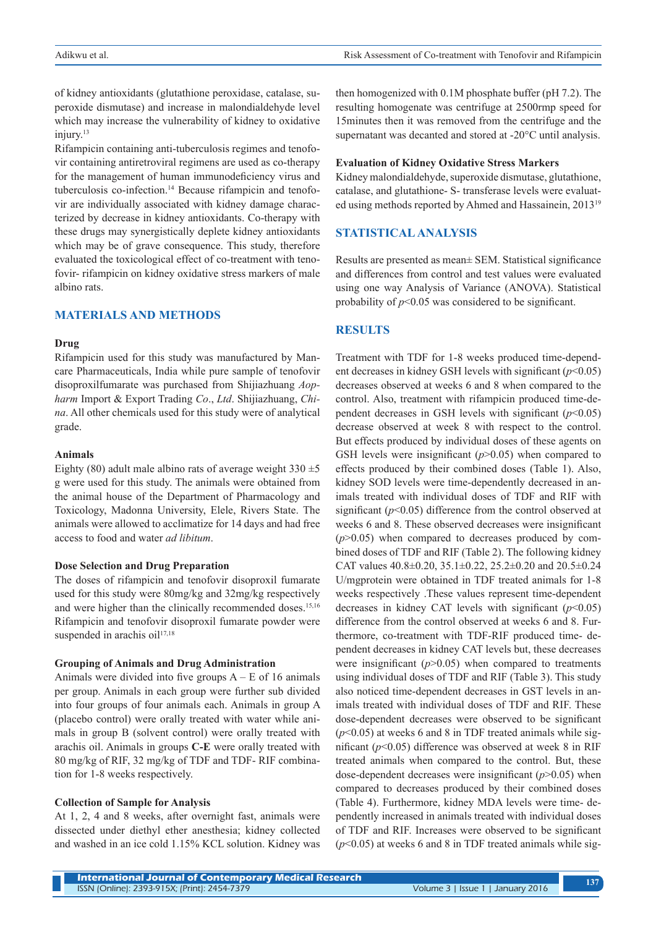of kidney antioxidants (glutathione peroxidase, catalase, superoxide dismutase) and increase in malondialdehyde level which may increase the vulnerability of kidney to oxidative injury.<sup>13</sup>

Rifampicin containing anti-tuberculosis regimes and tenofovir containing antiretroviral regimens are used as co-therapy for the management of human immunodeficiency virus and tuberculosis co-infection.14 Because rifampicin and tenofovir are individually associated with kidney damage characterized by decrease in kidney antioxidants. Co-therapy with these drugs may synergistically deplete kidney antioxidants which may be of grave consequence. This study, therefore evaluated the toxicological effect of co-treatment with tenofovir- rifampicin on kidney oxidative stress markers of male albino rats.

## **MATERIALS AND METHODS**

#### **Drug**

Rifampicin used for this study was manufactured by Mancare Pharmaceuticals, India while pure sample of tenofovir disoproxilfumarate was purchased from Shijiazhuang *Aopharm* Import & Export Trading *Co*., *Ltd*. Shijiazhuang, *China*. All other chemicals used for this study were of analytical grade.

## **Animals**

Eighty (80) adult male albino rats of average weight  $330 \pm 5$ g were used for this study. The animals were obtained from the animal house of the Department of Pharmacology and Toxicology, Madonna University, Elele, Rivers State. The animals were allowed to acclimatize for 14 days and had free access to food and water *ad libitum*.

### **Dose Selection and Drug Preparation**

The doses of rifampicin and tenofovir disoproxil fumarate used for this study were 80mg/kg and 32mg/kg respectively and were higher than the clinically recommended doses.<sup>15,16</sup> Rifampicin and tenofovir disoproxil fumarate powder were suspended in arachis oil $17,18$ 

#### **Grouping of Animals and Drug Administration**

Animals were divided into five groups  $A - E$  of 16 animals per group. Animals in each group were further sub divided into four groups of four animals each. Animals in group A (placebo control) were orally treated with water while animals in group B (solvent control) were orally treated with arachis oil. Animals in groups **C-E** were orally treated with 80 mg/kg of RIF, 32 mg/kg of TDF and TDF- RIF combination for 1-8 weeks respectively.

#### **Collection of Sample for Analysis**

At 1, 2, 4 and 8 weeks, after overnight fast, animals were dissected under diethyl ether anesthesia; kidney collected and washed in an ice cold 1.15% KCL solution. Kidney was then homogenized with 0.1M phosphate buffer (pH 7.2). The resulting homogenate was centrifuge at 2500rmp speed for 15minutes then it was removed from the centrifuge and the supernatant was decanted and stored at -20°C until analysis.

#### **Evaluation of Kidney Oxidative Stress Markers**

Kidney malondialdehyde, superoxide dismutase, glutathione, catalase, and glutathione- S- transferase levels were evaluated using methods reported by Ahmed and Hassainein, 201319

## **STATISTICAL ANALYSIS**

Results are presented as mean± SEM. Statistical significance and differences from control and test values were evaluated using one way Analysis of Variance (ANOVA). Statistical probability of *p*<0.05 was considered to be significant.

## **RESULTS**

Treatment with TDF for 1-8 weeks produced time-dependent decreases in kidney GSH levels with significant (*p*<0.05) decreases observed at weeks 6 and 8 when compared to the control. Also, treatment with rifampicin produced time-dependent decreases in GSH levels with significant (*p*<0.05) decrease observed at week 8 with respect to the control. But effects produced by individual doses of these agents on GSH levels were insignificant ( $p$ >0.05) when compared to effects produced by their combined doses (Table 1). Also, kidney SOD levels were time-dependently decreased in animals treated with individual doses of TDF and RIF with significant (*p*<0.05) difference from the control observed at weeks 6 and 8. These observed decreases were insignificant  $(p>0.05)$  when compared to decreases produced by combined doses of TDF and RIF (Table 2). The following kidney CAT values  $40.8\pm0.20$ ,  $35.1\pm0.22$ ,  $25.2\pm0.20$  and  $20.5\pm0.24$ U/mgprotein were obtained in TDF treated animals for 1-8 weeks respectively .These values represent time-dependent decreases in kidney CAT levels with significant  $(p<0.05)$ difference from the control observed at weeks 6 and 8. Furthermore, co-treatment with TDF-RIF produced time- dependent decreases in kidney CAT levels but, these decreases were insignificant  $(p>0.05)$  when compared to treatments using individual doses of TDF and RIF (Table 3). This study also noticed time-dependent decreases in GST levels in animals treated with individual doses of TDF and RIF. These dose-dependent decreases were observed to be significant  $(p<0.05)$  at weeks 6 and 8 in TDF treated animals while significant (*p*<0.05) difference was observed at week 8 in RIF treated animals when compared to the control. But, these dose-dependent decreases were insignificant (*p*>0.05) when compared to decreases produced by their combined doses (Table 4). Furthermore, kidney MDA levels were time- dependently increased in animals treated with individual doses of TDF and RIF. Increases were observed to be significant  $(p<0.05)$  at weeks 6 and 8 in TDF treated animals while sig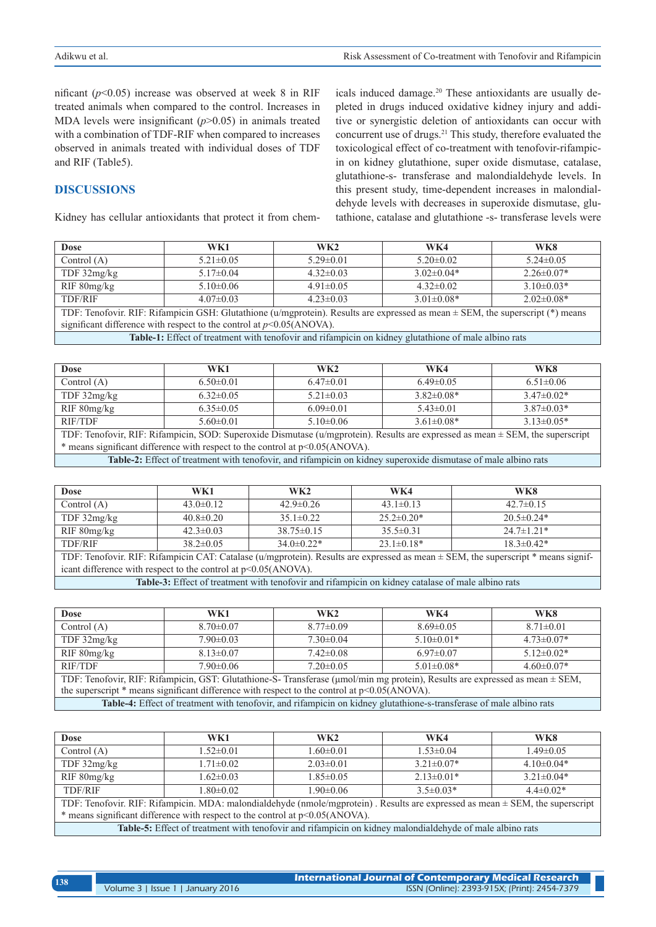nificant  $(p<0.05)$  increase was observed at week 8 in RIF treated animals when compared to the control. Increases in MDA levels were insignificant (*p*>0.05) in animals treated with a combination of TDF-RIF when compared to increases observed in animals treated with individual doses of TDF and RIF (Table5).

## **DISCUSSIONS**

Kidney has cellular antioxidants that protect it from chem-

icals induced damage.20 These antioxidants are usually depleted in drugs induced oxidative kidney injury and additive or synergistic deletion of antioxidants can occur with concurrent use of drugs.<sup>21</sup> This study, therefore evaluated the toxicological effect of co-treatment with tenofovir-rifampicin on kidney glutathione, super oxide dismutase, catalase, glutathione-s- transferase and malondialdehyde levels. In this present study, time-dependent increases in malondialdehyde levels with decreases in superoxide dismutase, glutathione, catalase and glutathione -s- transferase levels were

| <b>Dose</b>                                                                                                                        | WK1             | WK <sub>2</sub> | WK4              | WK8              |
|------------------------------------------------------------------------------------------------------------------------------------|-----------------|-----------------|------------------|------------------|
| Control $(A)$                                                                                                                      | $5.21 \pm 0.05$ | $5.29 \pm 0.01$ | $5.20 \pm 0.02$  | $5.24\pm0.05$    |
| TDF $32mg/kg$                                                                                                                      | $5.17\pm0.04$   | $4.32\pm0.03$   | $3.02 \pm 0.04*$ | $2.26 \pm 0.07*$ |
| RIF 80mg/kg                                                                                                                        | $5.10\pm0.06$   | $4.91\pm0.05$   | $4.32 \pm 0.02$  | $3.10\pm0.03*$   |
| <b>TDF/RIF</b>                                                                                                                     | $4.07\pm0.03$   | $4.23 \pm 0.03$ | $3.01 \pm 0.08*$ | $2.02\pm0.08*$   |
| TDF: Tenofovir. RIF: Rifampicin GSH: Glutathione (u/mgprotein). Results are expressed as mean $\pm$ SEM, the superscript (*) means |                 |                 |                  |                  |
| significant difference with respect to the control at $p<0.05$ (ANOVA).                                                            |                 |                 |                  |                  |
| Table-1: Effect of treatment with tenofovir and rifampicin on kidney glutathione of male albino rats                               |                 |                 |                  |                  |

| <b>Dose</b>                                                                                                                    | WK1             | WK2             | WK4              | WK8             |
|--------------------------------------------------------------------------------------------------------------------------------|-----------------|-----------------|------------------|-----------------|
| Control $(A)$                                                                                                                  | $6.50 \pm 0.01$ | $6.47\pm0.01$   | $6.49\pm0.05$    | $6.51 \pm 0.06$ |
| TDF 32mg/kg                                                                                                                    | $6.32 \pm 0.05$ | $5.21 \pm 0.03$ | $3.82\pm0.08*$   | $3.47\pm0.02*$  |
| RIF 80mg/kg                                                                                                                    | $6.35 \pm 0.05$ | $6.09 \pm 0.01$ | $5.43 \pm 0.01$  | $3.87\pm0.03*$  |
| RIF/TDF                                                                                                                        | $5.60 \pm 0.01$ | $5.10\pm0.06$   | $3.61 \pm 0.08*$ | $3.13\pm0.05*$  |
| TDF: Tenofovir, RIF: Rifampicin, SOD: Superoxide Dismutase (u/mgprotein). Results are expressed as mean ± SEM, the superscript |                 |                 |                  |                 |
| * means significant difference with respect to the control at p<0.05(ANOVA).                                                   |                 |                 |                  |                 |
| Table-2: Effect of treatment with tenofovir, and rifampicin on kidney superoxide dismutase of male albino rats                 |                 |                 |                  |                 |

| <b>Dose</b>                                                                                                                                 | WK1             | WK2              | WK4               | WK8              |
|---------------------------------------------------------------------------------------------------------------------------------------------|-----------------|------------------|-------------------|------------------|
| Control $(A)$                                                                                                                               | $43.0 \pm 0.12$ | $42.9 \pm 0.26$  | $43.1 \pm 0.13$   | $42.7 \pm 0.15$  |
| TDF $32mg/kg$                                                                                                                               | $40.8 \pm 0.20$ | $35.1 \pm 0.22$  | $25.2 \pm 0.20^*$ | $20.5 \pm 0.24*$ |
| RIF 80mg/kg                                                                                                                                 | $42.3 \pm 0.03$ | $38.75 \pm 0.15$ | $35.5\pm0.31$     | $24.7 \pm 1.21*$ |
| <b>TDF/RIF</b>                                                                                                                              | $38.2 \pm 0.05$ | $34.0\pm0.22*$   | $23.1 \pm 0.18*$  | $18.3 \pm 0.42*$ |
| TDF: Tenofovir. RIF: Rifampicin CAT: Catalase ( $u/m$ gprotein). Results are expressed as mean $\pm$ SEM, the superscript $*$ means signif- |                 |                  |                   |                  |
| icant difference with respect to the control at $p<0.05(ANOVA)$ .                                                                           |                 |                  |                   |                  |
| <b>Table-3:</b> Effect of treatment with tenofovir and rifampicin on kidney catalase of male albino rats                                    |                 |                  |                   |                  |

**Table-3:** Effect of treatment with tenofovir and rifampicin on kidney catalase of male albino rats

| Dose                                                                                                                                                                                                                              | WK1             | WK <sub>2</sub> | WK4              | WK8              |  |
|-----------------------------------------------------------------------------------------------------------------------------------------------------------------------------------------------------------------------------------|-----------------|-----------------|------------------|------------------|--|
| Control $(A)$                                                                                                                                                                                                                     | $8.70 \pm 0.07$ | $8.77 \pm 0.09$ | $8.69 \pm 0.05$  | $8.71 \pm 0.01$  |  |
| TDF $32mg/kg$                                                                                                                                                                                                                     | $7.90 \pm 0.03$ | $7.30\pm0.04$   | $5.10\pm0.01*$   | $4.73 \pm 0.07*$ |  |
| RIF 80mg/kg                                                                                                                                                                                                                       | $8.13 \pm 0.07$ | $7.42\pm0.08$   | $6.97\pm0.07$    | $5.12\pm0.02*$   |  |
| RIF/TDF                                                                                                                                                                                                                           | $7.90 \pm 0.06$ | $7.20 \pm 0.05$ | $5.01 \pm 0.08*$ | $4.60\pm0.07*$   |  |
| TDF: Tenofovir, RIF: Rifampicin, GST: Glutathione-S- Transferase (µmol/min mg protein), Results are expressed as mean ± SEM,<br>the superscript $*$ means significant difference with respect to the control at $p<0.05(ANOVA)$ . |                 |                 |                  |                  |  |

**Table-4:** Effect of treatment with tenofovir, and rifampicin on kidney glutathione-s-transferase of male albino rats

| <b>Dose</b>                                                                                                                   | WK1             | WK2             | WK4              | WK8              |
|-------------------------------------------------------------------------------------------------------------------------------|-----------------|-----------------|------------------|------------------|
| Control $(A)$                                                                                                                 | $1.52 \pm 0.01$ | $1.60 \pm 0.01$ | $1.53 \pm 0.04$  | $1.49 \pm 0.05$  |
| TDF 32mg/kg                                                                                                                   | $1.71 \pm 0.02$ | $2.03 \pm 0.01$ | $3.21 \pm 0.07*$ | $4.10\pm0.04*$   |
| RIF 80mg/kg                                                                                                                   | $1.62 \pm 0.03$ | $1.85 \pm 0.05$ | $2.13 \pm 0.01*$ | $3.21 \pm 0.04*$ |
| <b>TDF/RIF</b>                                                                                                                | $1.80 \pm 0.02$ | $1.90 \pm 0.06$ | $3.5\pm0.03*$    | $44\pm 0.02*$    |
| TDF: Tenofovir. RIF: Rifampicin. MDA: malondialdehyde (nmole/mgprotein). Results are expressed as mean ± SEM, the superscript |                 |                 |                  |                  |
| * means significant difference with respect to the control at p<0.05(ANOVA).                                                  |                 |                 |                  |                  |
| Table-5: Effect of treatment with tenofovir and rifampicin on kidney malondialdehyde of male albino rats                      |                 |                 |                  |                  |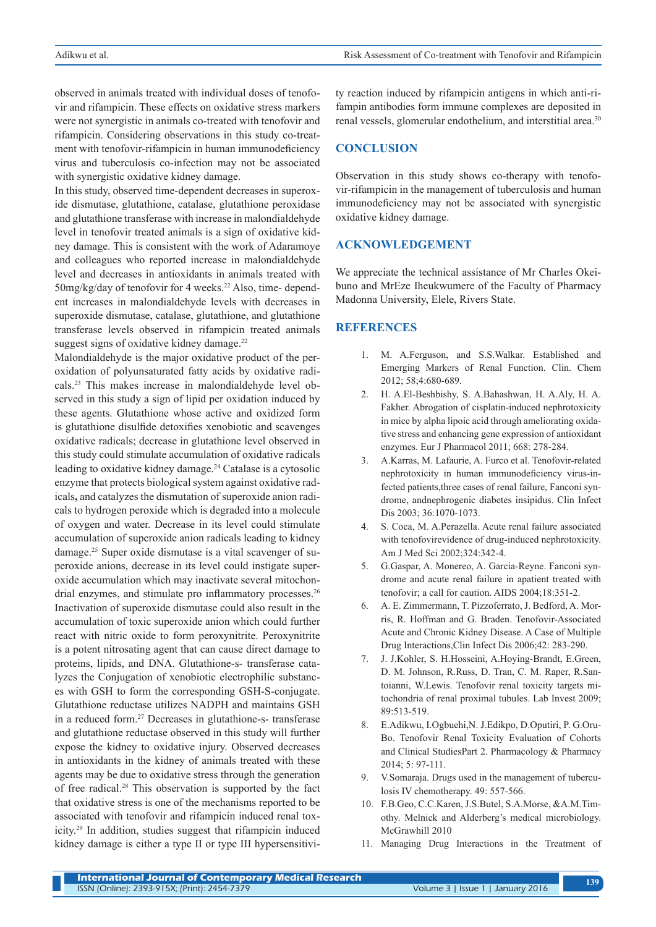observed in animals treated with individual doses of tenofovir and rifampicin. These effects on oxidative stress markers were not synergistic in animals co-treated with tenofovir and rifampicin. Considering observations in this study co-treatment with tenofovir-rifampicin in human immunodeficiency virus and tuberculosis co-infection may not be associated with synergistic oxidative kidney damage.

In this study, observed time-dependent decreases in superoxide dismutase, glutathione, catalase, glutathione peroxidase and glutathione transferase with increase in malondialdehyde level in tenofovir treated animals is a sign of oxidative kidney damage. This is consistent with the work of Adaramoye and colleagues who reported increase in malondialdehyde level and decreases in antioxidants in animals treated with  $50$ mg/kg/day of tenofovir for 4 weeks.<sup>22</sup> Also, time- dependent increases in malondialdehyde levels with decreases in superoxide dismutase, catalase, glutathione, and glutathione transferase levels observed in rifampicin treated animals suggest signs of oxidative kidney damage.<sup>22</sup>

Malondialdehyde is the major oxidative product of the peroxidation of polyunsaturated fatty acids by oxidative radicals.23 This makes increase in malondialdehyde level observed in this study a sign of lipid per oxidation induced by these agents. Glutathione whose active and oxidized form is glutathione disulfide detoxifies xenobiotic and scavenges oxidative radicals; decrease in glutathione level observed in this study could stimulate accumulation of oxidative radicals leading to oxidative kidney damage.<sup>24</sup> Catalase is a cytosolic enzyme that protects biological system against oxidative radicals**,** and catalyzes the dismutation of superoxide anion radicals to hydrogen peroxide which is degraded into a molecule of oxygen and water. Decrease in its level could stimulate accumulation of superoxide anion radicals leading to kidney damage.25 Super oxide dismutase is a vital scavenger of superoxide anions, decrease in its level could instigate superoxide accumulation which may inactivate several mitochondrial enzymes, and stimulate pro inflammatory processes.<sup>26</sup> Inactivation of superoxide dismutase could also result in the accumulation of toxic superoxide anion which could further react with nitric oxide to form peroxynitrite. Peroxynitrite is a potent nitrosating agent that can cause direct damage to proteins, lipids, and DNA. Glutathione-s- transferase catalyzes the Conjugation of xenobiotic electrophilic substances with GSH to form the corresponding GSH-S-conjugate. Glutathione reductase utilizes NADPH and maintains GSH in a reduced form.27 Decreases in glutathione-s- transferase and glutathione reductase observed in this study will further expose the kidney to oxidative injury. Observed decreases in antioxidants in the kidney of animals treated with these agents may be due to oxidative stress through the generation of free radical.28 This observation is supported by the fact that oxidative stress is one of the mechanisms reported to be associated with tenofovir and rifampicin induced renal toxicity.29 In addition, studies suggest that rifampicin induced kidney damage is either a type II or type III hypersensitivi-

ty reaction induced by rifampicin antigens in which anti-rifampin antibodies form immune complexes are deposited in renal vessels, glomerular endothelium, and interstitial area.<sup>30</sup>

## **CONCLUSION**

Observation in this study shows co-therapy with tenofovir-rifampicin in the management of tuberculosis and human immunodeficiency may not be associated with synergistic oxidative kidney damage.

## **ACKNOWLEDGEMENT**

We appreciate the technical assistance of Mr Charles Okeibuno and MrEze Iheukwumere of the Faculty of Pharmacy Madonna University, Elele, Rivers State.

## **REFERENCES**

- 1. M. A.Ferguson, and S.S.Walkar. Established and Emerging Markers of Renal Function. Clin. Chem 2012; 58;4:680-689.
- 2. H. A.El-Beshbishy, S. A.Bahashwan, H. A.Aly, H. A. Fakher. Abrogation of cisplatin-induced nephrotoxicity in mice by alpha lipoic acid through ameliorating oxidative stress and enhancing gene expression of antioxidant enzymes. Eur J Pharmacol 2011; 668: 278-284.
- 3. A.Karras, M. Lafaurie, A. Furco et al. Tenofovir-related nephrotoxicity in human immunodeficiency virus-infected patients,three cases of renal failure, Fanconi syndrome, andnephrogenic diabetes insipidus. Clin Infect Dis 2003; 36:1070-1073.
- 4. S. Coca, M. A.Perazella. Acute renal failure associated with tenofovirevidence of drug-induced nephrotoxicity. Am J Med Sci 2002;324:342-4.
- 5. G.Gaspar, A. Monereo, A. Garcia-Reyne. Fanconi syndrome and acute renal failure in apatient treated with tenofovir; a call for caution. AIDS 2004;18:351-2.
- 6. A. E. Zimmermann, T. Pizzoferrato, J. Bedford, A. Morris, R. Hoffman and G. Braden. Tenofovir-Associated Acute and Chronic Kidney Disease. A Case of Multiple Drug Interactions,Clin Infect Dis 2006;42: 283-290.
- 7. J. J.Kohler, S. H.Hosseini, A.Hoying-Brandt, E.Green, D. M. Johnson, R.Russ, D. Tran, C. M. Raper, R.Santoianni, W.Lewis. Tenofovir renal toxicity targets mitochondria of renal proximal tubules. Lab Invest 2009; 89:513-519.
- 8. E.Adikwu, I.Ogbuehi,N. J.Edikpo, D.Oputiri, P. G.Oru-Bo. Tenofovir Renal Toxicity Evaluation of Cohorts and Clinical StudiesPart 2. Pharmacology & Pharmacy 2014; 5: 97-111.
- 9. V.Somaraja. Drugs used in the management of tuberculosis IV chemotherapy. 49: 557-566.
- 10. F.B.Geo, C.C.Karen, J.S.Butel, S.A.Morse, &A.M.Timothy. Melnick and Alderberg's medical microbiology. McGrawhill 2010
- 11. Managing Drug Interactions in the Treatment of